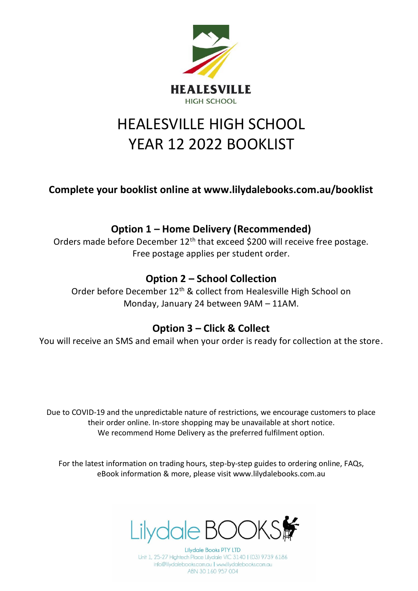

# HEALESVILLE HIGH SCHOOL YEAR 12 2022 BOOKLIST

**Complete your booklist online at www.lilydalebooks.com.au/booklist** 

## **Option 1 – Home Delivery (Recommended)**

Orders made before December 12<sup>th</sup> that exceed \$200 will receive free postage. Free postage applies per student order.

## **Option 2 – School Collection**

Order before December 12<sup>th</sup> & collect from Healesville High School on Monday, January 24 between 9AM – 11AM.

#### **Option 3 – Click & Collect**

You will receive an SMS and email when your order is ready for collection at the store.

Due to COVID-19 and the unpredictable nature of restrictions, we encourage customers to place their order online. In-store shopping may be unavailable at short notice. We recommend Home Delivery as the preferred fulfilment option.

For the latest information on trading hours, step-by-step guides to ordering online, FAQs, eBook information & more, please visit www.lilydalebooks.com.au



**Lilydale Books PTY LTD** Unit 1, 25-27 Hightech Place Lilydale VIC 3140 | (03) 9739 6186 info@lilydalebooks.com.au | www.lilydalebooks.com.au ABN 30 160 957 004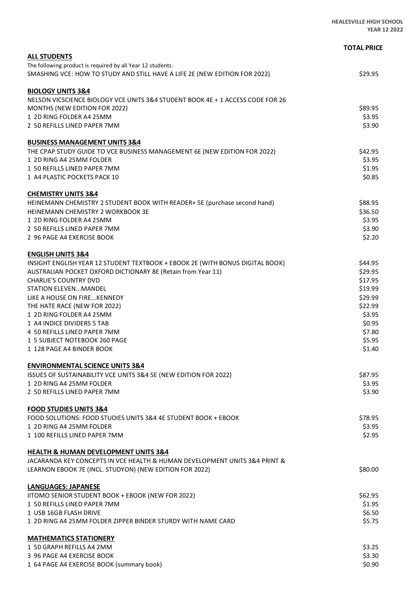|                                                                                | <b>TOTAL PRICE</b> |
|--------------------------------------------------------------------------------|--------------------|
| <b>ALL STUDENTS</b>                                                            |                    |
| The following product is required by all Year 12 students.                     |                    |
| SMASHING VCE: HOW TO STUDY AND STILL HAVE A LIFE 2E (NEW EDITION FOR 2022)     | \$29.95            |
| <b>BIOLOGY UNITS 3&amp;4</b>                                                   |                    |
| NELSON VICSCIENCE BIOLOGY VCE UNITS 3&4 STUDENT BOOK 4E + 1 ACCESS CODE FOR 26 |                    |
| <b>MONTHS (NEW EDITION FOR 2022)</b>                                           | \$89.95            |
| 1 2D RING FOLDER A4 25MM                                                       | \$3.95             |
| 2 50 REFILLS LINED PAPER 7MM                                                   | \$3.90             |
| <b>BUSINESS MANAGEMENT UNITS 3&amp;4</b>                                       |                    |
| THE CPAP STUDY GUIDE TO VCE BUSINESS MANAGEMENT 6E (NEW EDITION FOR 2022)      | \$42.95            |
| 1 2D RING A4 25MM FOLDER                                                       | \$3.95             |
| 1 50 REFILLS LINED PAPER 7MM                                                   | \$1.95             |
| 1 A4 PLASTIC POCKETS PACK 10                                                   | \$0.85             |
| <b>CHEMISTRY UNITS 3&amp;4</b>                                                 |                    |
| HEINEMANN CHEMISTRY 2 STUDENT BOOK WITH READER+ 5E (purchase second hand)      | \$88.95            |
| <b>HEINEMANN CHEMISTRY 2 WORKBOOK 3E</b>                                       | \$36.50            |
| 1 2D RING FOLDER A4 25MM                                                       | \$3.95             |
| 2 50 REFILLS LINED PAPER 7MM                                                   | \$3.90             |
| 2 96 PAGE A4 EXERCISE BOOK                                                     | \$2.20             |
| <b>ENGLISH UNITS 3&amp;4</b>                                                   |                    |
| INSIGHT ENGLISH YEAR 12 STUDENT TEXTBOOK + EBOOK 2E (WITH BONUS DIGITAL BOOK)  | \$44.95            |
| AUSTRALIAN POCKET OXFORD DICTIONARY 8E (Retain from Year 11)                   | \$29.95            |
| <b>CHARLIE'S COUNTRY DVD</b>                                                   | \$17.95            |
| STATION ELEVENMANDEL                                                           | \$19.99            |
| LIKE A HOUSE ON FIRE KENNEDY                                                   | \$29.99            |
| THE HATE RACE (NEW FOR 2022)                                                   | \$22.99            |
| 1 2D RING FOLDER A4 25MM                                                       | \$3.95             |
| 1 A4 INDICE DIVIDERS 5 TAB                                                     | \$0.95             |
| 4 50 REFILLS LINED PAPER 7MM                                                   | \$7.80             |
| 1 5 SUBJECT NOTEBOOK 260 PAGE                                                  | \$5.95             |
| 1 128 PAGE A4 BINDER BOOK                                                      | \$1.40             |
| <b>ENVIRONMENTAL SCIENCE UNITS 3&amp;4</b>                                     |                    |
| ISSUES OF SUSTAINABILITY VCE UNITS 3&4 5E (NEW EDITION FOR 2022)               | \$87.95            |
| 1 2D RING A4 25MM FOLDER                                                       | \$3.95             |
| 2 50 REFILLS LINED PAPER 7MM                                                   | \$3.90             |
| <b>FOOD STUDIES UNITS 3&amp;4</b>                                              |                    |
| FOOD SOLUTIONS: FOOD STUDIES UNITS 3&4 4E STUDENT BOOK + EBOOK                 | \$78.95            |
| 1 2D RING A4 25MM FOLDER                                                       | \$3.95             |
| 1 100 REFILLS LINED PAPER 7MM                                                  | \$2.95             |
| <b>HEALTH &amp; HUMAN DEVELOPMENT UNITS 3&amp;4</b>                            |                    |
| JACARANDA KEY CONCEPTS IN VCE HEALTH & HUMAN DEVELOPMENT UNITS 3&4 PRINT &     |                    |
| LEARNON EBOOK 7E (INCL. STUDYON) (NEW EDITION FOR 2022)                        | \$80.00            |
| <b>LANGUAGES: JAPANESE</b>                                                     |                    |
| IITOMO SENIOR STUDENT BOOK + EBOOK (NEW FOR 2022)                              | \$62.95            |
| 1 50 REFILLS LINED PAPER 7MM                                                   | \$1.95             |
| 1 USB 16GB FLASH DRIVE                                                         | \$6.50             |
| 1 2D RING A4 25MM FOLDER ZIPPER BINDER STURDY WITH NAME CARD                   | \$5.75             |
| <b>MATHEMATICS STATIONERY</b>                                                  |                    |
| 1 50 GRAPH REFILLS A4 2MM                                                      | \$3.25             |
| 3 96 PAGE A4 EXERCISE BOOK                                                     | \$3.30             |
| 1 64 PAGE A4 EXERCISE BOOK (summary book)                                      | \$0.90             |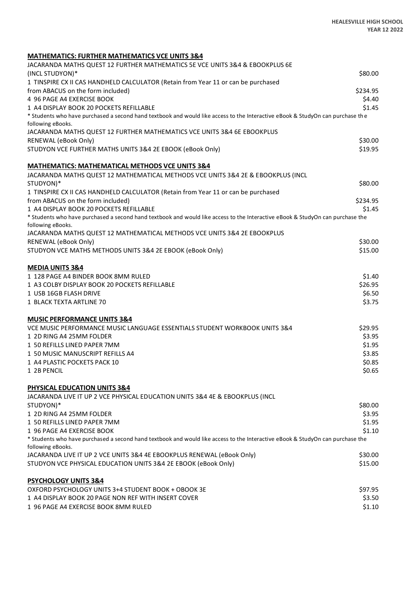#### **MATHEMATICS: FURTHER MATHEMATICS VCE UNITS 3&4**

| JACARANDA MATHS QUEST 12 FURTHER MATHEMATICS 5E VCE UNITS 3&4 & EBOOKPLUS 6E                                                                        |          |
|-----------------------------------------------------------------------------------------------------------------------------------------------------|----------|
| (INCL STUDYON)*                                                                                                                                     | \$80.00  |
| 1 TINSPIRE CX II CAS HANDHELD CALCULATOR (Retain from Year 11 or can be purchased                                                                   |          |
| from ABACUS on the form included)                                                                                                                   | \$234.95 |
| 4 96 PAGE A4 EXERCISE BOOK                                                                                                                          | \$4.40   |
| 1 A4 DISPLAY BOOK 20 POCKETS REFILLABLE                                                                                                             | \$1.45   |
| * Students who have purchased a second hand textbook and would like access to the Interactive eBook & StudyOn can purchase the                      |          |
| following eBooks.                                                                                                                                   |          |
| JACARANDA MATHS QUEST 12 FURTHER MATHEMATICS VCE UNITS 3&4 6E EBOOKPLUS                                                                             |          |
| RENEWAL (eBook Only)                                                                                                                                | \$30.00  |
| STUDYON VCE FURTHER MATHS UNITS 3&4 2E EBOOK (eBook Only)                                                                                           | \$19.95  |
| <b>MATHEMATICS: MATHEMATICAL METHODS VCE UNITS 3&amp;4</b>                                                                                          |          |
| JACARANDA MATHS QUEST 12 MATHEMATICAL METHODS VCE UNITS 3&4 2E & EBOOKPLUS (INCL                                                                    |          |
| STUDYON)*                                                                                                                                           | \$80.00  |
| 1 TINSPIRE CX II CAS HANDHELD CALCULATOR (Retain from Year 11 or can be purchased                                                                   |          |
| from ABACUS on the form included)                                                                                                                   | \$234.95 |
| 1 A4 DISPLAY BOOK 20 POCKETS REFILLABLE                                                                                                             | \$1.45   |
| * Students who have purchased a second hand textbook and would like access to the Interactive eBook & StudyOn can purchase the<br>following eBooks. |          |
| JACARANDA MATHS QUEST 12 MATHEMATICAL METHODS VCE UNITS 3&4 2E EBOOKPLUS                                                                            |          |
| RENEWAL (eBook Only)                                                                                                                                | \$30.00  |
| STUDYON VCE MATHS METHODS UNITS 3&4 2E EBOOK (eBook Only)                                                                                           | \$15.00  |
| <b>MEDIA UNITS 3&amp;4</b>                                                                                                                          |          |
| 1 128 PAGE A4 BINDER BOOK 8MM RULED                                                                                                                 | \$1.40   |
| 1 A3 COLBY DISPLAY BOOK 20 POCKETS REFILLABLE                                                                                                       | \$26.95  |
| 1 USB 16GB FLASH DRIVE                                                                                                                              | \$6.50   |
| 1 BLACK TEXTA ARTLINE 70                                                                                                                            | \$3.75   |
| <b>MUSIC PERFORMANCE UNITS 3&amp;4</b>                                                                                                              |          |
| VCE MUSIC PERFORMANCE MUSIC LANGUAGE ESSENTIALS STUDENT WORKBOOK UNITS 3&4                                                                          | \$29.95  |
| 1 2D RING A4 25MM FOLDER                                                                                                                            | \$3.95   |
| 1 50 REFILLS LINED PAPER 7MM                                                                                                                        | \$1.95   |
| 1 50 MUSIC MANUSCRIPT REFILLS A4                                                                                                                    | \$3.85   |
| 1 A4 PLASTIC POCKETS PACK 10                                                                                                                        | \$0.85   |
| 1 2B PENCIL                                                                                                                                         | \$0.65   |
| PHYSICAL EDUCATION UNITS 3&4                                                                                                                        |          |
| JACARANDA LIVE IT UP 2 VCE PHYSICAL EDUCATION UNITS 3&4 4E & EBOOKPLUS (INCL                                                                        |          |
| STUDYON)*                                                                                                                                           | \$80.00  |
| 1 2D RING A4 25MM FOLDER                                                                                                                            | \$3.95   |
| 1 50 REFILLS LINED PAPER 7MM                                                                                                                        | \$1.95   |
| 1 96 PAGE A4 EXERCISE BOOK                                                                                                                          | \$1.10   |
| * Students who have purchased a second hand textbook and would like access to the Interactive eBook & StudyOn can purchase the                      |          |
| following eBooks.                                                                                                                                   |          |
| JACARANDA LIVE IT UP 2 VCE UNITS 3&4 4E EBOOKPLUS RENEWAL (eBook Only)                                                                              | \$30.00  |
| STUDYON VCE PHYSICAL EDUCATION UNITS 3&4 2E EBOOK (eBook Only)                                                                                      | \$15.00  |
| <b>PSYCHOLOGY UNITS 3&amp;4</b>                                                                                                                     |          |
| OXFORD PSYCHOLOGY UNITS 3+4 STUDENT BOOK + OBOOK 3E                                                                                                 | \$97.95  |
| 1 A4 DISPLAY BOOK 20 PAGE NON REF WITH INSERT COVER                                                                                                 | \$3.50   |
| 1 96 PAGE A4 EXERCISE BOOK 8MM RULED                                                                                                                | \$1.10   |